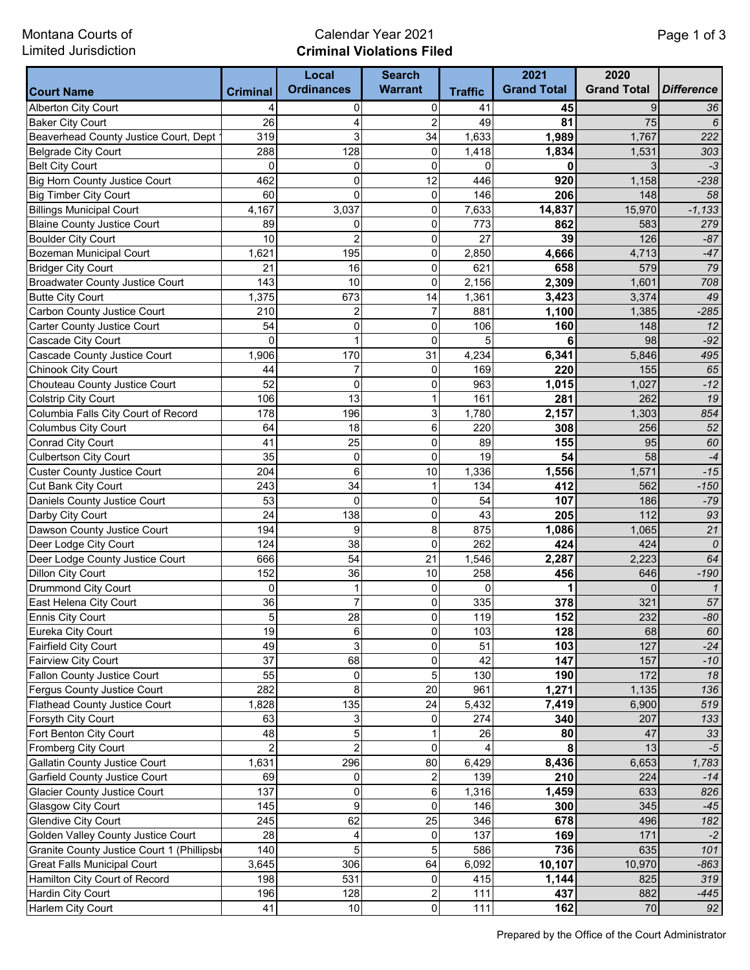Montana Courts of Limited Jurisdiction

## Calendar Year 2021 **Criminal Violations Filed**

|                                           |                 | Local             | <b>Search</b>  |                | 2021               | 2020               |                   |
|-------------------------------------------|-----------------|-------------------|----------------|----------------|--------------------|--------------------|-------------------|
| <b>Court Name</b>                         | <b>Criminal</b> | <b>Ordinances</b> | <b>Warrant</b> | <b>Traffic</b> | <b>Grand Total</b> | <b>Grand Total</b> | <b>Difference</b> |
| <b>Alberton City Court</b>                | 4               | $\mathbf 0$       | 0              | 41             | 45                 | 9                  | 36                |
| <b>Baker City Court</b>                   | 26              | 4                 | $\overline{2}$ | 49             | 81                 | 75                 | 6                 |
| Beaverhead County Justice Court, Dept     | 319             | 3                 | 34             | 1,633          | 1,989              | 1,767              | 222               |
| Belgrade City Court                       | 288             | 128               | 0              | 1,418          | 1,834              | 1,531              | 303               |
| <b>Belt City Court</b>                    | $\Omega$        | $\mathbf 0$       | $\mathbf 0$    | $\Omega$       | 0                  | 3                  | $-3$              |
| Big Horn County Justice Court             | 462             | $\mathbf 0$       | 12             | 446            | 920                | 1,158              | $-238$            |
| Big Timber City Court                     | 60              | $\mathbf 0$       | $\mathbf 0$    | 146            | 206                | 148                | 58                |
| <b>Billings Municipal Court</b>           | 4,167           | 3,037             | $\pmb{0}$      | 7,633          | 14,837             | 15,970             | $-1,133$          |
| <b>Blaine County Justice Court</b>        | 89              | $\mathbf 0$       | $\mathbf 0$    | 773            | 862                | 583                | 279               |
| <b>Boulder City Court</b>                 | 10              | $\overline{c}$    | $\mathbf 0$    | 27             | 39                 | 126                | $-87$             |
| Bozeman Municipal Court                   | 1,621           | 195               | $\mathbf 0$    | 2,850          | 4,666              | 4,713              | $-47$             |
| <b>Bridger City Court</b>                 | 21              | 16                | $\mathbf 0$    | 621            | 658                | 579                | 79                |
| <b>Broadwater County Justice Court</b>    | 143             | 10                | $\mathbf 0$    | 2,156          | 2,309              | 1,601              | 708               |
| <b>Butte City Court</b>                   | 1,375           | 673               | 14             | 1,361          | 3,423              | 3,374              | 49                |
| Carbon County Justice Court               | 210             | $\overline{c}$    | $\overline{7}$ | 881            | 1,100              | 1,385              | $-285$            |
| Carter County Justice Court               | 54              | 0                 | 0              | 106            | 160                | 148                | 12                |
| Cascade City Court                        | 0               | 1                 | 0              | 5              | 6                  | 98                 | $-92$             |
| Cascade County Justice Court              | 1,906           | 170               | 31             | 4,234          | 6,341              | 5,846              | 495               |
| Chinook City Court                        | 44              | $\overline{7}$    | 0              | 169            | 220                | 155                | 65                |
| Chouteau County Justice Court             | 52              | $\mathbf 0$       | 0              | 963            | 1,015              | 1,027              | $-12$             |
| Colstrip City Court                       | 106             | 13                | 1              | 161            | 281                | 262                | 19                |
| Columbia Falls City Court of Record       | 178             | 196               | 3              | 1,780          | 2,157              | 1,303              | 854               |
| <b>Columbus City Court</b>                | 64              | 18                | 6              | 220            | 308                | 256                | 52                |
| Conrad City Court                         | 41              | 25                | $\mathbf 0$    | 89             | 155                | 95                 | 60                |
| Culbertson City Court                     | 35              | $\mathbf 0$       | $\mathbf 0$    | 19             | 54                 | 58                 | $-4$              |
| <b>Custer County Justice Court</b>        | 204             | 6                 | 10             | 1,336          | 1,556              | 1,571              | $-15$             |
| Cut Bank City Court                       | 243             | 34                | 1              | 134            | 412                | 562                | $-150$            |
| Daniels County Justice Court              | 53              | $\mathbf 0$       | 0              | 54             | 107                | 186                | $-79$             |
| Darby City Court                          | 24              | 138               | $\mathbf 0$    | 43             | 205                | 112                | 93                |
| Dawson County Justice Court               | 194             | 9                 | 8              | 875            | 1,086              | 1,065              | 21                |
| Deer Lodge City Court                     | 124             | 38                | $\mathbf 0$    | 262            | 424                | 424                | 0                 |
| Deer Lodge County Justice Court           | 666             | 54                | 21             | 1,546          | 2,287              | 2,223              | 64                |
| <b>Dillon City Court</b>                  | 152             | 36                | 10             | 258            | 456                | 646                | $-190$            |
| Drummond City Court                       | 0               | $\mathbf 1$       | 0              | $\mathbf 0$    | 1                  | $\Omega$           | $\overline{1}$    |
| East Helena City Court                    | 36              | $\overline{7}$    | $\Omega$       | 335            | 378                | 321                | $\overline{57}$   |
| Ennis City Court                          | $\mathbf 5$     | 28                | $\overline{0}$ | 119            | 152                | 232                | -80               |
| Eureka City Court                         | 19              | $\,6$             | $\Omega$       | 103            | 128                | 68                 | 60                |
| <b>Fairfield City Court</b>               | 49              | 3                 | 0              | 51             | 103                | 127                | $-24$             |
| Fairview City Court                       | 37              | 68                | 0              | 42             | 147                | 157                | $-10$             |
| Fallon County Justice Court               | 55              | $\pmb{0}$         | 5              | 130            | 190                | 172                | 18                |
| Fergus County Justice Court               | 282             | 8                 | 20             | 961            | 1,271              | 1,135              | 136               |
| <b>Flathead County Justice Court</b>      | 1,828           | 135               | 24             | 5,432          | 7,419              | 6,900              | 519               |
| Forsyth City Court                        | 63              | 3                 | 0              | 274            | 340                | 207                | 133               |
| Fort Benton City Court                    | 48              | 5                 | 1              | 26             | 80                 | 47                 | 33                |
| <b>Fromberg City Court</b>                | $\overline{c}$  | $\overline{c}$    | $\mathbf 0$    | 4              | 8                  | 13                 | $-5$              |
| <b>Gallatin County Justice Court</b>      | 1,631           | 296               | 80             | 6,429          | 8,436              | 6,653              | 1,783             |
| Garfield County Justice Court             | 69              | 0                 | $\overline{c}$ | 139            | 210                | 224                | $-14$             |
| <b>Glacier County Justice Court</b>       | 137             | $\pmb{0}$         | 6              | 1,316          | 1,459              | 633                | 826               |
| Glasgow City Court                        | 145             | 9                 | $\mathbf 0$    | 146            | 300                | 345                | $-45$             |
| <b>Glendive City Court</b>                | 245             | 62                | 25             | 346            | 678                | 496                | 182               |
| Golden Valley County Justice Court        | 28              | 4                 | 0              | 137            | 169                | 171                | $-2$              |
| Granite County Justice Court 1 (Phillipsb | 140             | 5                 | 5              | 586            | 736                | 635                | 101               |
| <b>Great Falls Municipal Court</b>        | 3,645           | 306               | 64             | 6,092          | 10,107             | 10,970             | $-863$            |
| Hamilton City Court of Record             | 198             | 531               | 0              | 415            | 1,144              | 825                | 319               |
| Hardin City Court                         | 196             | 128               | 2              | 111            | 437                | 882                | -445              |
| Harlem City Court                         | 41              | 10                | $\pmb{0}$      | 111            | 162                | 70                 | 92                |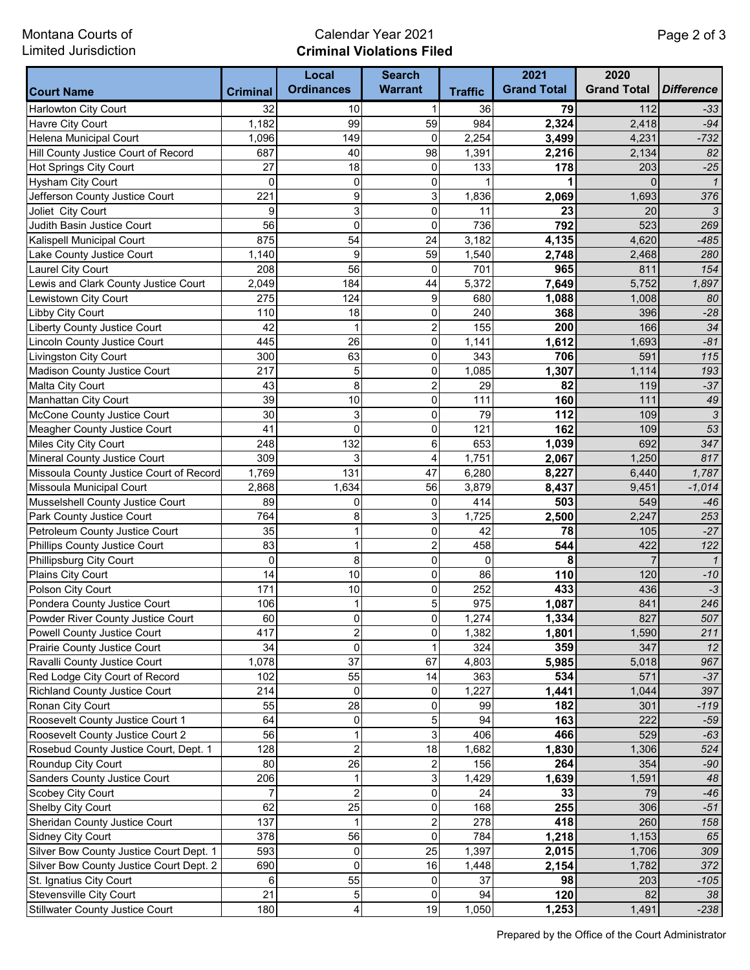Montana Courts of Limited Jurisdiction

## Calendar Year 2021 **Criminal Violations Filed**

|                                         |                 | Local                   | <b>Search</b>           |                | 2021               | 2020               |                   |
|-----------------------------------------|-----------------|-------------------------|-------------------------|----------------|--------------------|--------------------|-------------------|
| <b>Court Name</b>                       | <b>Criminal</b> | <b>Ordinances</b>       | <b>Warrant</b>          | <b>Traffic</b> | <b>Grand Total</b> | <b>Grand Total</b> | <b>Difference</b> |
| <b>Harlowton City Court</b>             | 32              | 10                      |                         | 36             | 79                 | 112                | $-33$             |
| Havre City Court                        | 1,182           | 99                      | 59                      | 984            | 2,324              | 2,418              | $-94$             |
| Helena Municipal Court                  | 1,096           | 149                     | $\mathbf 0$             | 2,254          | 3,499              | 4,231              | $-732$            |
| Hill County Justice Court of Record     | 687             | 40                      | 98                      | 1,391          | 2,216              | 2,134              | 82                |
| Hot Springs City Court                  | 27              | 18                      | $\mathbf 0$             | 133            | 178                | 203                | $-25$             |
| <b>Hysham City Court</b>                | $\mathbf 0$     | $\mathbf 0$             | $\mathbf 0$             | 1              |                    | $\Omega$           | $\mathbf{1}$      |
| Jefferson County Justice Court          | 221             | 9                       | 3                       | 1,836          | 2,069              | 1,693              | 376               |
| Joliet City Court                       | 9               | 3                       | $\mathbf 0$             | 11             | 23                 | 20                 | 3                 |
| Judith Basin Justice Court              | 56              | $\mathbf 0$             | $\overline{0}$          | 736            | 792                | 523                | 269               |
| Kalispell Municipal Court               | 875             | 54                      | 24                      | 3,182          | 4,135              | 4,620              | $-485$            |
| Lake County Justice Court               | 1,140           | 9                       | 59                      | 1,540          | 2,748              | 2,468              | 280               |
| Laurel City Court                       | 208             | 56                      | $\mathbf 0$             | 701            | 965                | 811                | 154               |
| Lewis and Clark County Justice Court    | 2,049           | 184                     | 44                      | 5,372          | 7,649              | 5,752              | 1,897             |
| Lewistown City Court                    | 275             | 124                     | 9                       | 680            | 1,088              | 1,008              | 80                |
| Libby City Court                        | 110             | 18                      | 0                       | 240            | 368                | 396                | $-28$             |
| <b>Liberty County Justice Court</b>     | 42              | 1                       | $\overline{c}$          | 155            | 200                | 166                | 34                |
| <b>Lincoln County Justice Court</b>     | 445             | 26                      | 0                       | 1,141          | 1,612              | 1,693              | $-81$             |
| Livingston City Court                   | 300             | 63                      | 0                       | 343            | 706                | 591                | 115               |
| Madison County Justice Court            | 217             | 5                       | 0                       | 1,085          | 1,307              | 1,114              | 193               |
| Malta City Court                        | 43              | 8                       | $\overline{c}$          | 29             | 82                 | 119                | $-37$             |
| Manhattan City Court                    | 39              | 10                      | 0                       | 111            | 160                | 111                | 49                |
| McCone County Justice Court             | 30              | 3                       | 0                       | 79             | 112                | 109                | $\sqrt{3}$        |
| Meagher County Justice Court            | 41              | 0                       | 0                       | 121            | 162                | 109                | 53                |
| Miles City City Court                   | 248             | 132                     | 6                       | 653            | 1,039              | 692                | 347               |
| Mineral County Justice Court            | 309             | 3                       | 4                       | 1,751          | 2,067              | 1,250              | 817               |
| Missoula County Justice Court of Record | 1,769           | 131                     | 47                      | 6,280          | 8,227              | 6,440              | 1,787             |
| Missoula Municipal Court                | 2,868           | 1,634                   | 56                      | 3,879          | 8,437              | 9,451              | $-1,014$          |
| Musselshell County Justice Court        | 89              | 0                       | $\mathbf 0$             | 414            | 503                | 549                | $-46$             |
| Park County Justice Court               | 764             | 8                       | 3                       | 1,725          | 2,500              | 2,247              | 253               |
| Petroleum County Justice Court          | 35              | $\mathbf 1$             | $\mathbf 0$             | 42             | 78                 | 105                | $-27$             |
| Phillips County Justice Court           | 83              | 1                       | $\overline{\mathbf{c}}$ | 458            | 544                | 422                | 122               |
| Phillipsburg City Court                 | 0               | 8                       | $\mathbf 0$             | $\mathbf 0$    | 8                  | $\overline{7}$     | $\overline{1}$    |
| Plains City Court                       | 14              | 10                      | $\mathbf 0$             | 86             | 110                | 120                | $-10$             |
| Polson City Court                       | 171             | 10                      | $\pmb{0}$               | 252            | 433                | 436                | $-3$              |
| Pondera County Justice Court            | 106             | $\mathbf{1}$            | 5                       | 975            | 1,087              | 841                | 246               |
| Powder River County Justice Court       | 60              | $\overline{0}$          | $\overline{0}$          | 1,274          | 1,334              | 827                | 507               |
| Powell County Justice Court             | 417             | $\overline{2}$          | 0                       | 1,382          | 1,801              | 1,590              | 211               |
| Prairie County Justice Court            | 34              | 0                       |                         | 324            | 359                | 347                | 12                |
| Ravalli County Justice Court            | 1,078           | 37                      | 67                      | 4,803          | 5,985              | 5,018              | 967               |
| Red Lodge City Court of Record          | 102             | 55                      | 14                      | 363            | 534                | 571                | $-37$             |
| <b>Richland County Justice Court</b>    | 214             | 0                       | 0                       | 1,227          | 1,441              | 1,044              | 397               |
| Ronan City Court                        | 55              | 28                      | 0                       | 99             | 182                | 301                | $-119$            |
| Roosevelt County Justice Court 1        | 64              | $\pmb{0}$               | 5                       | 94             | 163                | 222                | $-59$             |
| Roosevelt County Justice Court 2        | 56              | 1                       | 3                       | 406            | 466                | 529                | $-63$             |
| Rosebud County Justice Court, Dept. 1   | 128             | $\boldsymbol{2}$        | 18                      | 1,682          | 1,830              | 1,306              | 524               |
| Roundup City Court                      | 80              | 26                      | $\overline{\mathbf{c}}$ | 156            | 264                | 354                | $-90$             |
| Sanders County Justice Court            | 206             | $\mathbf{1}$            | 3                       | 1,429          | 1,639              | 1,591              | 48                |
| Scobey City Court                       | $\overline{7}$  | $\overline{c}$          | $\mathbf 0$             | 24             | 33                 | 79                 | $-46$             |
| Shelby City Court                       | 62              | 25                      | 0                       | 168            | 255                | 306                | $-51$             |
| Sheridan County Justice Court           | 137             | $\mathbf 1$             | $\overline{c}$          | 278            | 418                | 260                | 158               |
| <b>Sidney City Court</b>                | 378             | 56                      | $\mathbf 0$             | 784            | 1,218              | 1,153              | 65                |
| Silver Bow County Justice Court Dept. 1 | 593             | $\pmb{0}$               | 25                      | 1,397          | 2,015              | 1,706              | 309               |
| Silver Bow County Justice Court Dept. 2 | 690             | 0                       | 16                      | 1,448          |                    | 1,782              | 372               |
| St. Ignatius City Court                 | 6               | 55                      | 0                       | 37             | 2,154<br>98        |                    |                   |
| Stevensville City Court                 | 21              | $\mathbf 5$             | $\mathbf 0$             | 94             | 120                | 203<br>82          | $-105$<br>38      |
|                                         | 180             | $\overline{\mathbf{4}}$ | 19                      | 1,050          |                    | 1,491              | $-238$            |
| <b>Stillwater County Justice Court</b>  |                 |                         |                         |                | 1,253              |                    |                   |